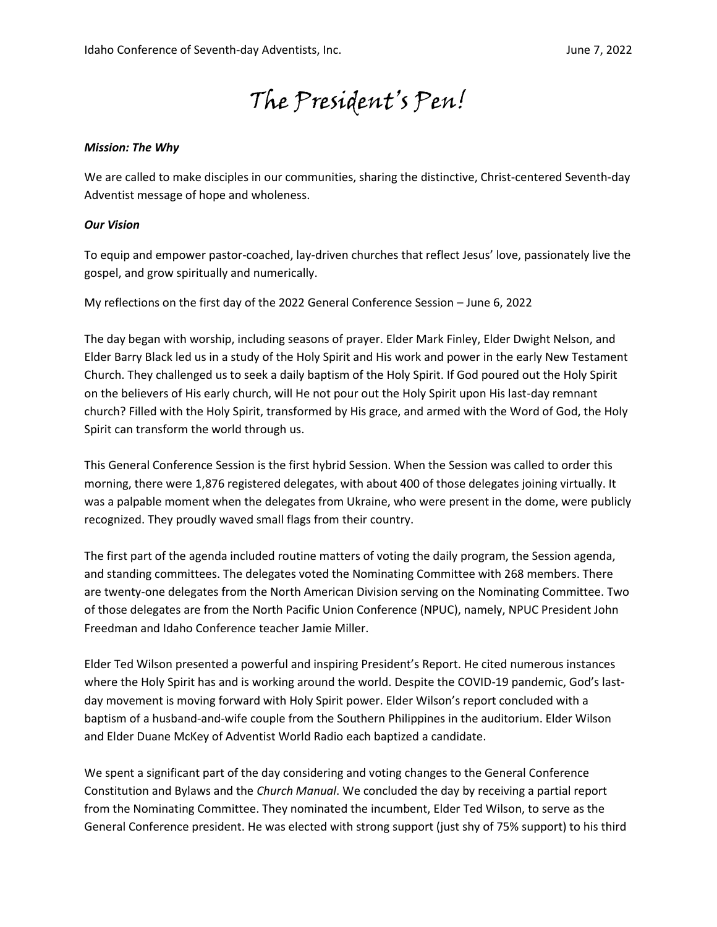# The President's Pen!

### *Mission: The Why*

We are called to make disciples in our communities, sharing the distinctive, Christ-centered Seventh-day Adventist message of hope and wholeness.

### *Our Vision*

To equip and empower pastor-coached, lay-driven churches that reflect Jesus' love, passionately live the gospel, and grow spiritually and numerically.

My reflections on the first day of the 2022 General Conference Session – June 6, 2022

The day began with worship, including seasons of prayer. Elder Mark Finley, Elder Dwight Nelson, and Elder Barry Black led us in a study of the Holy Spirit and His work and power in the early New Testament Church. They challenged us to seek a daily baptism of the Holy Spirit. If God poured out the Holy Spirit on the believers of His early church, will He not pour out the Holy Spirit upon His last-day remnant church? Filled with the Holy Spirit, transformed by His grace, and armed with the Word of God, the Holy Spirit can transform the world through us.

This General Conference Session is the first hybrid Session. When the Session was called to order this morning, there were 1,876 registered delegates, with about 400 of those delegates joining virtually. It was a palpable moment when the delegates from Ukraine, who were present in the dome, were publicly recognized. They proudly waved small flags from their country.

The first part of the agenda included routine matters of voting the daily program, the Session agenda, and standing committees. The delegates voted the Nominating Committee with 268 members. There are twenty-one delegates from the North American Division serving on the Nominating Committee. Two of those delegates are from the North Pacific Union Conference (NPUC), namely, NPUC President John Freedman and Idaho Conference teacher Jamie Miller.

Elder Ted Wilson presented a powerful and inspiring President's Report. He cited numerous instances where the Holy Spirit has and is working around the world. Despite the COVID-19 pandemic, God's lastday movement is moving forward with Holy Spirit power. Elder Wilson's report concluded with a baptism of a husband-and-wife couple from the Southern Philippines in the auditorium. Elder Wilson and Elder Duane McKey of Adventist World Radio each baptized a candidate.

We spent a significant part of the day considering and voting changes to the General Conference Constitution and Bylaws and the *Church Manual*. We concluded the day by receiving a partial report from the Nominating Committee. They nominated the incumbent, Elder Ted Wilson, to serve as the General Conference president. He was elected with strong support (just shy of 75% support) to his third